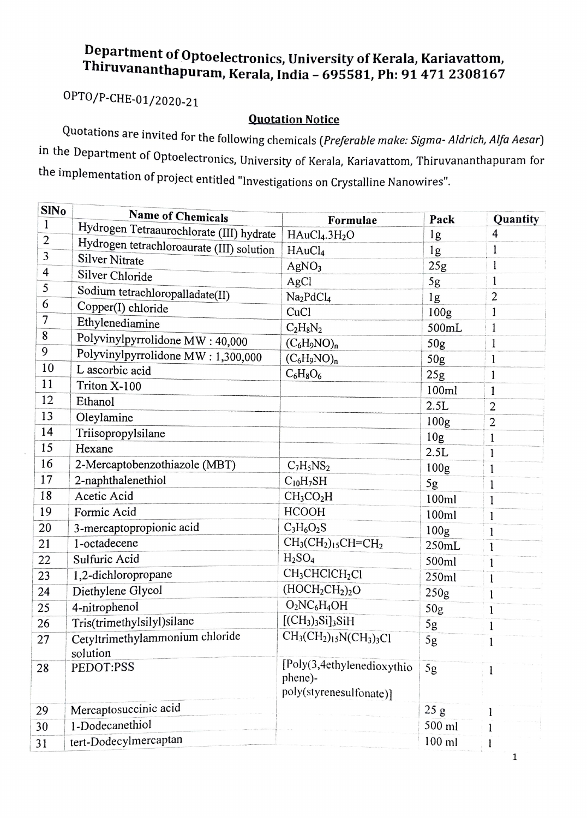## Department of Optoelectronics, University of Kerala, Kariavattom, hiruvananthapuram, Kerala, India - 695581, Ph: 91 471 2308167

OPTO/P-CHE-01/2020-21

Quotation Notice<br>Quotations are invited for the following chemicals (Preferable make: Sigma- Aldrich, Alfa Aesar) in the Department of Optoelectronics, University of Kerala, Kariavattom, Thiruvananthapuram for the implementation of project entitled "Investigations on Crystalline Nanowires"

| <b>SINo</b>             | Name of Chemicals                         | Formulae                               | Pack             | Quantity       |
|-------------------------|-------------------------------------------|----------------------------------------|------------------|----------------|
| 1                       | Hydrogen Tetraaurochlorate (III) hydrate  | HAuCl <sub>4</sub> .3H <sub>2</sub> O  | 1 <sub>g</sub>   | 4              |
| $\overline{c}$          | Hydrogen tetrachloroaurate (III) solution | HAuCl <sub>4</sub>                     | $\lg$            | $\mathbf{1}$   |
| 3                       | <b>Silver Nitrate</b>                     | AgNO <sub>3</sub>                      | 25g              | 1              |
| $\overline{\mathbf{4}}$ | Silver Chloride                           | AgCl                                   | 5g               | 1              |
| 5                       | Sodium tetrachloropalladate(II)           | Na <sub>2</sub> PdCl <sub>4</sub>      | 1g               | $\overline{2}$ |
| 6                       | Copper(I) chloride                        | CuCl                                   | 100 <sub>g</sub> | 1              |
| 7                       | Ethylenediamine                           | $C_2H_8N_2$                            | 500mL            | $\mathbf{1}$   |
| 8                       | Polyvinylpyrrolidone MW: 40,000           | $(C_6H_9NO)_n$                         | 50 <sub>g</sub>  | $\mathbf{1}$   |
| 9                       | Polyvinylpyrrolidone MW: 1,300,000        | $(C_6H_9NO)_n$                         | 50g              | 1              |
| 10                      | L ascorbic acid                           | $C_6H_8O_6$                            | 25g              | 1              |
| 11                      | Triton X-100                              |                                        | 100ml            | 1              |
| 12                      | Ethanol                                   |                                        | 2.5L             | 2              |
| 13                      | Oleylamine                                |                                        | 100 <sub>g</sub> | $\overline{2}$ |
| 14                      | Triisopropylsilane                        |                                        | 10 <sub>g</sub>  | 1              |
| 15                      | Hexane                                    |                                        | 2.5L             | 1              |
| 16                      | 2-Mercaptobenzothiazole (MBT)             | $C_7H_5NS_2$                           | 100 <sub>g</sub> | 1              |
| 17                      | 2-naphthalenethiol                        | $C_{10}H_7SH$                          | 5g               | 1              |
| 18                      | Acetic Acid                               | CH <sub>3</sub> CO <sub>2</sub> H      | 100ml            | 1              |
| 19                      | Formic Acid                               | <b>HCOOH</b>                           | 100ml            | 1              |
| 20                      | 3-mercaptopropionic acid                  | $C_3H_6O_2S$                           | 100 <sub>g</sub> | 1              |
| 21                      | 1-octadecene                              | $CH3(CH2)15CH=CH2$                     | 250mL            | 1              |
| 22                      | Sulfuric Acid                             | H <sub>2</sub> SO <sub>4</sub>         | 500ml            | 1              |
| 23                      | 1,2-dichloropropane                       | CH <sub>3</sub> CHClCH <sub>2</sub> Cl | 250ml            | 1              |
| 24                      | Diethylene Glycol                         | $(HOCH2CH2)2O$                         | 250g             | 1              |
| 25                      | 4-nitrophenol                             | $O2NC6H4OH$                            | 50 <sub>g</sub>  | l              |
| 26                      | Tris(trimethylsilyl)silane                | $[(CH3)3Si]3SiH$                       | 5g               |                |
| 27                      | Cetyltrimethylammonium chloride           | $CH3(CH2)15N(CH3)3Cl$                  | 5g               |                |
|                         | solution                                  |                                        |                  |                |
| 28                      | PEDOT:PSS                                 | [Poly(3,4ethylenedioxythio]<br>phene)- | 5g               | 1              |
|                         |                                           | poly(styrenesulfonate)]                |                  |                |
| 29                      | Mercaptosuccinic acid                     |                                        | 25g              |                |
| 30                      | 1-Dodecanethiol                           |                                        | 500 ml           |                |
| 31                      | tert-Dodecylmercaptan                     |                                        | $100$ ml         |                |

 $\mathbf 1$